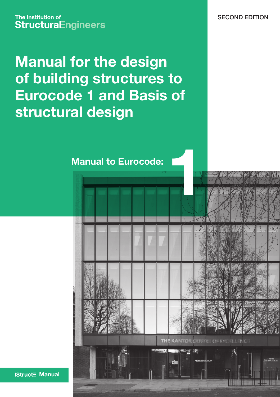The Institution of **StructuraEngineers** 

**Manual for the design of building structures to Eurocode 1 and Basis of structural design**

SECOND EDITION

THE KANTOR CENTRE OF EXCELLENCE

**1 Manual to Eurocode:**

**IStruct** Manual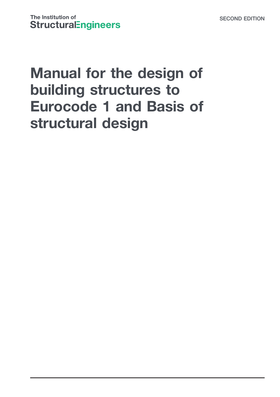# Manual for the design of building structures to Eurocode 1 and Basis of structural design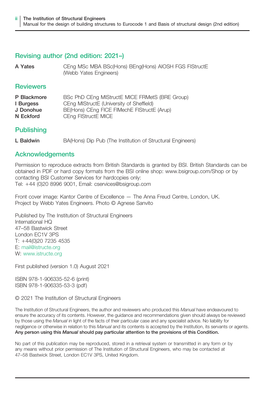#### Revising author (2nd edition: 2021–)

A Yates CEng MSc MBA BSc(Hons) BEng(Hons) AIOSH FGS FIStructE (Webb Yates Engineers)

#### **Reviewers**

| P Blackmore | BSc PhD CEng MIStructE MICE FRMetS (BRE Group) |
|-------------|------------------------------------------------|
| I Burgess   | CEng MIStructE (University of Sheffield)       |
| J Donohue   | BE(Hons) CEng FICE FIMechE FIStructE (Arup)    |
| N Eckford   | CEng FIStructE MICE                            |

#### **Publishing**

L Baldwin BA(Hons) Dip Pub (The Institution of Structural Engineers)

#### Acknowledgements

Permission to reproduce extracts from British Standards is granted by BSI. British Standards can be obtained in PDF or hard copy formats from the BSI online shop: www.bsigroup.com/Shop or by contacting BSI Customer Services for hardcopies only: Tel: +44 (0)20 8996 9001, Email: cservices@bsigroup.com

Front cover image: Kantor Centre of Excellence — The Anna Freud Centre, London, UK. Project by Webb Yates Engineers. Photo © Agnese Sanvito

Published by The Institution of Structural Engineers International HQ 47–58 Bastwick Street London EC1V 3PS T: +44(0)20 7235 4535 E: mail@istructe.org W: www.istructe.org

First published (version 1.0) August 2021

ISBN 978-1-906335-52-6 (print) ISBN 978-1-906335-53-3 (pdf)

#### © 2021 The Institution of Structural Engineers

The Institution of Structural Engineers, the author and reviewers who produced this Manual have endeavoured to ensure the accuracy of its contents. However, the guidance and recommendations given should always be reviewed by those using the Manual in light of the facts of their particular case and any specialist advice. No liability for negligence or otherwise in relation to this Manual and its contents is accepted by the Institution, its servants or agents. Any person using this Manual should pay particular attention to the provisions of this Condition.

No part of this publication may be reproduced, stored in a retrieval system or transmitted in any form or by any means without prior permission of The Institution of Structural Engineers, who may be contacted at 47–58 Bastwick Street, London EC1V 3PS, United Kingdom.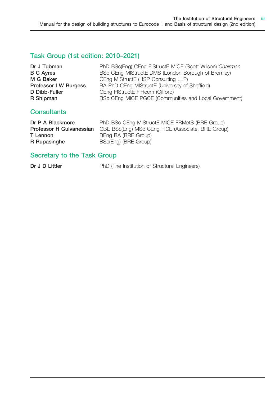### Task Group (1st edition: 2010–2021)

| Dr J Tubman           | PhD BSc(Eng) CEng FIStructE MICE (Scott Wilson) Chairman |
|-----------------------|----------------------------------------------------------|
| <b>B C Ayres</b>      | BSc CEng MIStructE DMS (London Borough of Bromley)       |
| M G Baker             | CEng MIStructE (HSP Consulting LLP)                      |
| Professor I W Burgess | BA PhD CEng MIStructE (University of Sheffield)          |
| D Dibb-Fuller         | CEng FIStructE FIHeem (Gifford)                          |
| R Shipman             | BSc CEng MICE PGCE (Communities and Local Government)    |

#### **Consultants**

| Dr P A Blackmore         | PhD BSc CEng MIStructE MICE FRMetS (BRE Group)    |
|--------------------------|---------------------------------------------------|
| Professor H Gulvanessian | CBE BSc(Eng) MSc CEng FICE (Associate, BRE Group) |
| T Lennon                 | BEng BA (BRE Group)                               |
| R Rupasinghe             | BSc(Eng) (BRE Group)                              |

### Secretary to the Task Group

Dr J D Littler **PhD** (The Institution of Structural Engineers)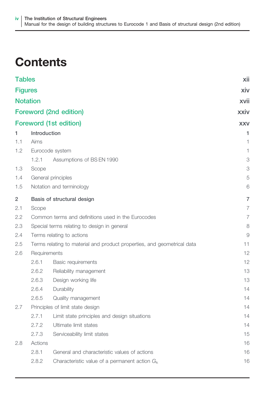## **Contents**

| <b>Tables</b>   |                                                                         |                                                    | xii            |
|-----------------|-------------------------------------------------------------------------|----------------------------------------------------|----------------|
| <b>Figures</b>  |                                                                         |                                                    | xiv            |
| <b>Notation</b> |                                                                         |                                                    | xvii           |
|                 |                                                                         | Foreword (2nd edition)                             | xxiv           |
|                 |                                                                         | <b>Foreword (1st edition)</b>                      | <b>XXV</b>     |
| 1               | Introduction                                                            |                                                    | 1              |
| 1.1             | Aims                                                                    |                                                    | 1              |
| 1.2             | Eurocode system                                                         |                                                    | 1              |
|                 | 1.2.1                                                                   | Assumptions of BS EN 1990                          | 3              |
| 1.3             | Scope                                                                   |                                                    | 3              |
| 1.4             |                                                                         | General principles                                 | 5              |
| 1.5             |                                                                         | Notation and terminology                           | 6              |
| $\overline{2}$  |                                                                         | Basis of structural design                         | 7              |
| 2.1             | Scope                                                                   |                                                    | $\overline{7}$ |
| 2.2             |                                                                         | Common terms and definitions used in the Eurocodes | $\overline{7}$ |
| 2.3             |                                                                         | Special terms relating to design in general        | 8              |
| 2.4             | Terms relating to actions                                               |                                                    | 9              |
| 2.5             | Terms relating to material and product properties, and geometrical data |                                                    | 11             |
| 2.6             | Requirements                                                            |                                                    | 12             |
|                 | 2.6.1                                                                   | <b>Basic requirements</b>                          | 12             |
|                 | 2.6.2                                                                   | Reliability management                             | 13             |
|                 | 2.6.3                                                                   | Design working life                                | 13             |
|                 | 2.6.4                                                                   | Durability                                         | 14             |
|                 | 2.6.5                                                                   | Quality management                                 | 14             |
| 2.7             |                                                                         | Principles of limit state design                   | 14             |
|                 | 2.7.1                                                                   | Limit state principles and design situations       | 14             |
|                 | 2.7.2                                                                   | Ultimate limit states                              | 14             |
|                 | 2.7.3                                                                   | Serviceability limit states                        | 15             |
| 2.8             | Actions                                                                 |                                                    | 16             |
|                 | 2.8.1                                                                   | General and characteristic values of actions       | 16             |
|                 | 2.8.2                                                                   | Characteristic value of a permanent action $G_{k}$ | 16             |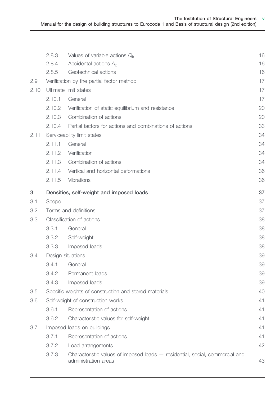|      | 2.8.3  | Values of variable actions $Q_k$                                                                     | 16 |
|------|--------|------------------------------------------------------------------------------------------------------|----|
|      | 2.8.4  | Accidental actions $A_{\rm d}$                                                                       | 16 |
|      | 2.8.5  | Geotechnical actions                                                                                 | 16 |
| 2.9  |        | Verification by the partial factor method                                                            | 17 |
| 2.10 |        | Ultimate limit states                                                                                | 17 |
|      | 2.10.1 | General                                                                                              | 17 |
|      | 2.10.2 | Verification of static equilibrium and resistance                                                    | 20 |
|      | 2.10.3 | Combination of actions                                                                               | 20 |
|      | 2.10.4 | Partial factors for actions and combinations of actions                                              | 33 |
| 2.11 |        | Serviceability limit states                                                                          | 34 |
|      | 2.11.1 | General                                                                                              | 34 |
|      | 2.11.2 | Verification                                                                                         | 34 |
|      | 2.11.3 | Combination of actions                                                                               | 34 |
|      | 2.11.4 | Vertical and horizontal deformations                                                                 | 36 |
|      | 2.11.5 | <b>Vibrations</b>                                                                                    | 36 |
| 3    |        | Densities, self-weight and imposed loads                                                             | 37 |
| 3.1  | Scope  |                                                                                                      | 37 |
| 3.2  |        | Terms and definitions                                                                                | 37 |
| 3.3  |        | Classification of actions                                                                            | 38 |
|      | 3.3.1  | General                                                                                              | 38 |
|      | 3.3.2  | Self-weight                                                                                          | 38 |
|      | 3.3.3  | Imposed loads                                                                                        | 38 |
| 3.4  |        | Design situations                                                                                    | 39 |
|      | 3.4.1  | General                                                                                              | 39 |
|      | 3.4.2  | Permanent loads                                                                                      | 39 |
|      | 3.4.3  | Imposed loads                                                                                        | 39 |
| 3.5  |        | Specific weights of construction and stored materials                                                | 40 |
| 3.6  |        | Self-weight of construction works                                                                    | 41 |
|      | 3.6.1  | Representation of actions                                                                            | 41 |
|      | 3.6.2  | Characteristic values for self-weight                                                                | 41 |
| 3.7  |        | Imposed loads on buildings                                                                           | 41 |
|      | 3.7.1  | Representation of actions                                                                            | 41 |
|      | 3.7.2  | Load arrangements                                                                                    | 42 |
|      | 3.7.3  | Characteristic values of imposed loads – residential, social, commercial and<br>administration areas | 43 |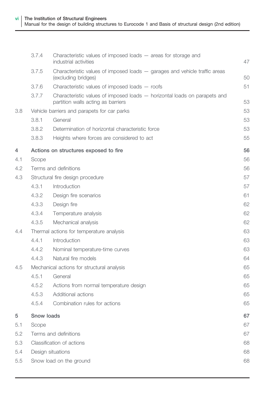|     | 3.7.4      | Characteristic values of imposed loads $-$ areas for storage and<br>industrial activities                       | 47 |
|-----|------------|-----------------------------------------------------------------------------------------------------------------|----|
|     | 3.7.5      | Characteristic values of imposed loads - garages and vehicle traffic areas<br>(excluding bridges)               | 50 |
|     | 3.7.6      | Characteristic values of imposed loads – roofs                                                                  | 51 |
|     | 3.7.7      | Characteristic values of imposed loads - horizontal loads on parapets and<br>partition walls acting as barriers | 53 |
| 3.8 |            | Vehicle barriers and parapets for car parks                                                                     | 53 |
|     | 3.8.1      | General                                                                                                         | 53 |
|     | 3.8.2      | Determination of horizontal characteristic force                                                                | 53 |
|     | 3.8.3      | Heights where forces are considered to act                                                                      | 55 |
| 4   |            | Actions on structures exposed to fire                                                                           | 56 |
| 4.1 | Scope      |                                                                                                                 | 56 |
| 4.2 |            | Terms and definitions                                                                                           | 56 |
| 4.3 |            | Structural fire design procedure                                                                                | 57 |
|     | 4.3.1      | Introduction                                                                                                    | 57 |
|     | 4.3.2      | Design fire scenarios                                                                                           | 61 |
|     | 4.3.3      | Design fire                                                                                                     | 62 |
|     | 4.3.4      | Temperature analysis                                                                                            | 62 |
|     | 4.3.5      | Mechanical analysis                                                                                             | 62 |
| 4.4 |            | Thermal actions for temperature analysis                                                                        | 63 |
|     | 4.4.1      | Introduction                                                                                                    | 63 |
|     | 4.4.2      | Nominal temperature-time curves                                                                                 | 63 |
|     | 4.4.3      | Natural fire models                                                                                             | 64 |
| 4.5 |            | Mechanical actions for structural analysis                                                                      | 65 |
|     | 4.5.1      | General                                                                                                         | 65 |
|     | 4.5.2      | Actions from normal temperature design                                                                          | 65 |
|     | 4.5.3      | Additional actions                                                                                              | 65 |
|     | 4.5.4      | Combination rules for actions                                                                                   | 65 |
| 5   | Snow loads |                                                                                                                 | 67 |
| 5.1 | Scope      |                                                                                                                 | 67 |
| 5.2 |            | Terms and definitions                                                                                           | 67 |
| 5.3 |            | Classification of actions                                                                                       | 68 |
| 5.4 |            | Design situations                                                                                               | 68 |
| 5.5 |            | Snow load on the ground                                                                                         | 68 |
|     |            |                                                                                                                 |    |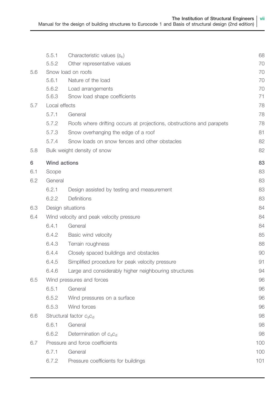|     | 5.5.1                     | Characteristic values $(s_k)$                                         | 68       |
|-----|---------------------------|-----------------------------------------------------------------------|----------|
|     | 5.5.2                     | Other representative values                                           | 70       |
| 5.6 |                           | Snow load on roofs                                                    | 70       |
|     | 5.6.1<br>5.6.2            | Nature of the load                                                    | 70       |
|     | 5.6.3                     | Load arrangements<br>Snow load shape coefficients                     | 70<br>71 |
| 5.7 | Local effects             |                                                                       | 78       |
|     | 5.7.1                     | General                                                               | 78       |
|     | 5.7.2                     | Roofs where drifting occurs at projections, obstructions and parapets | 78       |
|     | 5.7.3                     | Snow overhanging the edge of a roof                                   | 81       |
|     | 5.7.4                     | Snow loads on snow fences and other obstacles                         | 82       |
| 5.8 |                           | Bulk weight density of snow                                           | 82       |
| 6   | Wind actions              |                                                                       | 83       |
| 6.1 | Scope                     |                                                                       | 83       |
| 6.2 | General                   |                                                                       | 83       |
|     | 6.2.1                     | Design assisted by testing and measurement                            | 83       |
|     | 6.2.2                     | Definitions                                                           | 83       |
| 6.3 |                           | Design situations                                                     | 84       |
| 6.4 |                           | Wind velocity and peak velocity pressure                              | 84       |
|     | 6.4.1                     | General                                                               | 84       |
|     | 6.4.2                     | Basic wind velocity                                                   | 85       |
|     | 6.4.3                     | Terrain roughness                                                     | 88       |
|     | 6.4.4                     | Closely spaced buildings and obstacles                                | 90       |
|     | 6.4.5                     | Simplified procedure for peak velocity pressure                       | 91       |
|     | 6.4.6                     | Large and considerably higher neighbouring structures                 | 94       |
| 6.5 | Wind pressures and forces |                                                                       |          |
|     | 6.5.1                     | General                                                               | 96       |
|     | 6.5.2                     | Wind pressures on a surface                                           | 96       |
|     | 6.5.3                     | Wind forces                                                           | 96       |
| 6.6 |                           | Structural factor $c_s c_d$                                           | 98       |
|     | 6.6.1                     | General                                                               | 98       |
|     | 6.6.2                     | Determination of $c_{s}c_{d}$                                         | 98       |
| 6.7 |                           | Pressure and force coefficients                                       | 100      |
|     | 6.7.1                     | General                                                               | 100      |
|     | 6.7.2                     | Pressure coefficients for buildings                                   | 101      |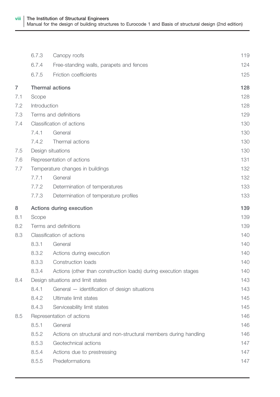|                                  | 6.7.3        | Canopy roofs                                                     | 119 |
|----------------------------------|--------------|------------------------------------------------------------------|-----|
|                                  | 6.7.4        | Free-standing walls, parapets and fences                         | 124 |
|                                  | 6.7.5        | Friction coefficients                                            | 125 |
| $\overline{7}$                   |              | <b>Thermal actions</b>                                           | 128 |
| 7.1                              | Scope        |                                                                  | 128 |
| 7.2                              | Introduction |                                                                  | 128 |
| 7.3                              |              | Terms and definitions                                            | 129 |
| 7.4                              |              | Classification of actions                                        | 130 |
|                                  | 7.4.1        | General                                                          | 130 |
|                                  | 7.4.2        | Thermal actions                                                  | 130 |
| 7.5                              |              | Design situations                                                | 130 |
| 7.6                              |              | Representation of actions                                        | 131 |
| 7.7                              |              | Temperature changes in buildings                                 | 132 |
|                                  | 7.7.1        | General                                                          | 132 |
|                                  | 7.7.2        | Determination of temperatures                                    | 133 |
|                                  | 7.7.3        | Determination of temperature profiles                            | 133 |
| 8                                |              | Actions during execution                                         | 139 |
| 8.1                              | Scope        |                                                                  | 139 |
| 8.2                              |              | Terms and definitions                                            | 139 |
| 8.3<br>Classification of actions |              |                                                                  | 140 |
|                                  | 8.3.1        | General                                                          | 140 |
|                                  | 8.3.2        | Actions during execution                                         | 140 |
|                                  | 8.3.3        | Construction loads                                               | 140 |
|                                  | 8.3.4        | Actions (other than construction loads) during execution stages  | 140 |
| 8.4                              |              | Design situations and limit states                               | 143 |
|                                  | 8.4.1        | General - identification of design situations                    | 143 |
|                                  | 8.4.2        | Ultimate limit states                                            | 145 |
|                                  | 8.4.3        | Serviceability limit states                                      | 145 |
| 8.5                              |              | Representation of actions                                        | 146 |
|                                  | 8.5.1        | General                                                          | 146 |
|                                  | 8.5.2        | Actions on structural and non-structural members during handling | 146 |
|                                  | 8.5.3        | Geotechnical actions                                             | 147 |
|                                  | 8.5.4        | Actions due to prestressing                                      | 147 |
|                                  | 8.5.5        | Predeformations                                                  | 147 |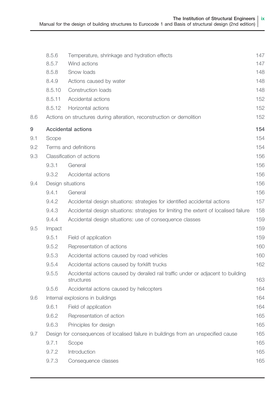|     | 8.5.6  | Temperature, shrinkage and hydration effects                                                   | 147 |
|-----|--------|------------------------------------------------------------------------------------------------|-----|
|     | 8.5.7  | Wind actions                                                                                   | 147 |
|     | 8.5.8  | Snow loads                                                                                     | 148 |
|     | 8.4.9  | Actions caused by water                                                                        | 148 |
|     | 8.5.10 | Construction loads                                                                             | 148 |
|     | 8.5.11 | Accidental actions                                                                             | 152 |
|     | 8.5.12 | Horizontal actions                                                                             | 152 |
| 8.6 |        | Actions on structures during alteration, reconstruction or demolition                          | 152 |
| 9   |        | Accidental actions                                                                             | 154 |
| 9.1 | Scope  |                                                                                                | 154 |
| 9.2 |        | Terms and definitions                                                                          | 154 |
| 9.3 |        | Classification of actions                                                                      | 156 |
|     | 9.3.1  | General                                                                                        | 156 |
|     | 9.3.2  | Accidental actions                                                                             | 156 |
| 9.4 |        | Design situations                                                                              | 156 |
|     | 9.4.1  | General                                                                                        | 156 |
|     | 9.4.2  | Accidental design situations: strategies for identified accidental actions                     | 157 |
|     | 9.4.3  | Accidental design situations: strategies for limiting the extent of localised failure          | 158 |
|     | 9.4.4  | Accidental design situations: use of consequence classes                                       | 159 |
| 9.5 | Impact |                                                                                                | 159 |
|     | 9.5.1  | Field of application                                                                           | 159 |
|     | 9.5.2  | Representation of actions                                                                      | 160 |
|     | 9.5.3  | Accidental actions caused by road vehicles                                                     | 160 |
|     | 9.5.4  | Accidental actions caused by forklift trucks                                                   | 162 |
|     | 9.5.5  | Accidental actions caused by derailed rail traffic under or adjacent to building<br>structures | 163 |
|     | 9.5.6  | Accidental actions caused by helicopters                                                       | 164 |
| 9.6 |        | Internal explosions in buildings                                                               | 164 |
|     | 9.6.1  | Field of application                                                                           | 164 |
|     | 9.6.2  | Representation of action                                                                       | 165 |
|     | 9.6.3  | Principles for design                                                                          | 165 |
| 9.7 |        | Design for consequences of localised failure in buildings from an unspecified cause            | 165 |
|     | 9.7.1  | Scope                                                                                          | 165 |
|     | 9.7.2  | Introduction                                                                                   | 165 |
|     | 9.7.3  | Consequence classes                                                                            | 165 |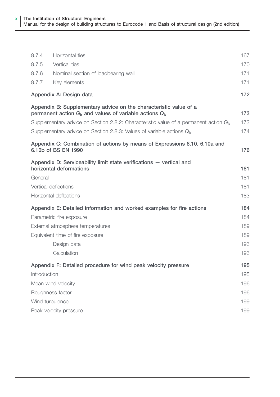| 9.7.4            | Horizontal ties                                                                                                                  | 167 |
|------------------|----------------------------------------------------------------------------------------------------------------------------------|-----|
| 9.7.5            | Vertical ties                                                                                                                    | 170 |
| 9.7.6            | Nominal section of loadbearing wall                                                                                              | 171 |
| 9.7.7            | Key elements                                                                                                                     | 171 |
|                  | Appendix A: Design data                                                                                                          | 172 |
|                  | Appendix B: Supplementary advice on the characteristic value of a<br>permanent action $G_k$ and values of variable actions $Q_k$ | 173 |
|                  | Supplementary advice on Section 2.8.2: Characteristic value of a permanent action $G_k$                                          | 173 |
|                  | Supplementary advice on Section 2.8.3: Values of variable actions $Q_k$                                                          | 174 |
|                  | Appendix C: Combination of actions by means of Expressions 6.10, 6.10a and<br>6.10b of BS EN 1990                                | 176 |
|                  | Appendix D: Serviceability limit state verifications - vertical and<br>horizontal deformations                                   | 181 |
| General          |                                                                                                                                  | 181 |
|                  | Vertical deflections                                                                                                             | 181 |
|                  | Horizontal deflections                                                                                                           | 183 |
|                  | Appendix E: Detailed information and worked examples for fire actions                                                            | 184 |
|                  | Parametric fire exposure                                                                                                         | 184 |
|                  | External atmosphere temperatures                                                                                                 | 189 |
|                  | Equivalent time of fire exposure                                                                                                 | 189 |
|                  | Design data                                                                                                                      | 193 |
|                  | Calculation                                                                                                                      | 193 |
|                  | Appendix F: Detailed procedure for wind peak velocity pressure                                                                   | 195 |
| Introduction     |                                                                                                                                  | 195 |
|                  | Mean wind velocity                                                                                                               | 196 |
| Roughness factor |                                                                                                                                  | 196 |
| Wind turbulence  |                                                                                                                                  | 199 |
|                  | Peak velocity pressure                                                                                                           | 199 |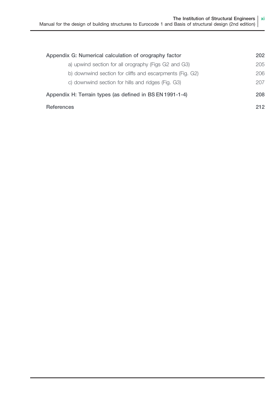| Appendix G: Numerical calculation of orography factor    |     |
|----------------------------------------------------------|-----|
| a) upwind section for all orography (Figs G2 and G3)     | 205 |
| b) downwind section for cliffs and escarpments (Fig. G2) | 206 |
| c) downwind section for hills and ridges (Fig. G3)       | 207 |
| Appendix H: Terrain types (as defined in BS EN 1991-1-4) | 208 |
| References                                               | 212 |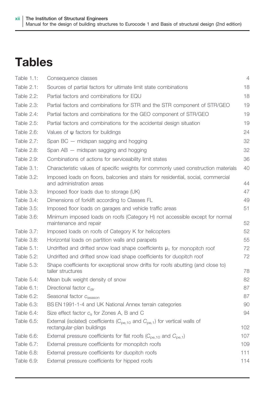### <span id="page-12-0"></span>**Tables**

| Table 1.1:        | Consequence classes                                                                                                 | $\overline{4}$ |
|-------------------|---------------------------------------------------------------------------------------------------------------------|----------------|
| Table 2.1:        | Sources of partial factors for ultimate limit state combinations                                                    | 18             |
| Table 2.2:        | Partial factors and combinations for EQU                                                                            | 18             |
| Table 2.3:        | Partial factors and combinations for STR and the STR component of STR/GEO                                           | 19             |
| Table 2.4:        | Partial factors and combinations for the GEO component of STR/GEO                                                   | 19             |
| Table 2.5:        | Partial factors and combinations for the accidental design situation                                                | 19             |
| Table 2.6:        | Values of $\psi$ factors for buildings                                                                              | 24             |
| Table 2.7:        | Span $BC$ – midspan sagging and hogging                                                                             | 32             |
| Table 2.8:        | Span $AB$ – midspan sagging and hogging                                                                             | 32             |
| Table 2.9:        | Combinations of actions for serviceability limit states                                                             | 36             |
| Table 3.1:        | Characteristic values of specific weights for commonly used construction materials                                  | 40             |
| Table 3.2:        | Imposed loads on floors, balconies and stairs for residential, social, commercial<br>and administration areas       | 44             |
| <b>Table 3.3:</b> | Imposed floor loads due to storage (UK)                                                                             | 47             |
| Table 3.4:        | Dimensions of forklift according to Classes FL                                                                      | 49             |
| Table 3.5:        | Imposed floor loads on garages and vehicle traffic areas                                                            | 51             |
| Table 3.6:        | Minimum imposed loads on roofs (Category H) not accessible except for normal<br>maintenance and repair              | 52             |
| Table 3.7:        | Imposed loads on roofs of Category K for helicopters                                                                | 52             |
| Table 3.8:        | Horizontal loads on partition walls and parapets                                                                    | 55             |
| Table 5.1:        | Undrifted and drifted snow load shape coefficients $\mu_1$ for monopitch roof                                       | 72             |
| Table 5.2:        | Undrifted and drifted snow load shape coefficients for duopitch roof                                                | 72             |
| Table 5.3:        | Shape coefficients for exceptional snow drifts for roofs abutting (and close to)<br>taller structures               | 78             |
| Table $5.4$ :     | Mean bulk weight density of snow                                                                                    | 82             |
| Table 6.1:        | Directional factor $c_{\text{dir}}$                                                                                 | 87             |
| Table 6.2:        | Seasonal factor C <sub>season</sub>                                                                                 | 87             |
| Table 6.3:        | BS EN 1991-1-4 and UK National Annex terrain categories                                                             | 90             |
| Table 6.4:        | Size effect factor $c_s$ for Zones A, B and C                                                                       | 94             |
| Table 6.5:        | External (isolated) coefficients ( $C_{pe,10}$ and $C_{pe,1}$ ) for vertical walls of<br>rectangular-plan buildings | 102            |
| Table 6.6:        | External pressure coefficients for flat roofs ( $C_{\text{pe.10}}$ and $C_{\text{pe.1}}$ )                          | 107            |
| Table 6.7:        | External pressure coefficients for monopitch roofs                                                                  | 109            |
| Table 6.8:        | External pressure coefficients for duopitch roofs                                                                   | 111            |
| Table 6.9:        | External pressure coefficients for hipped roofs                                                                     | 114            |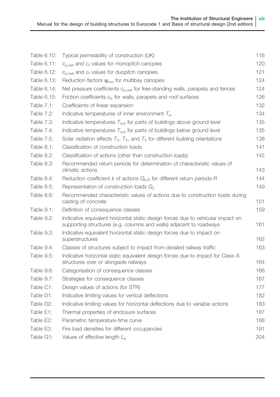| Table 6.10:       | Typical permeability of construction (UK)                                                                                                               | 116 |
|-------------------|---------------------------------------------------------------------------------------------------------------------------------------------------------|-----|
| Table 6.11:       | $c_{p,net}$ and $c_f$ values for monopitch canopies                                                                                                     | 120 |
| Table 6.12:       | $c_{p,net}$ and $c_f$ values for duopitch canopies                                                                                                      | 121 |
| Table 6.13:       | Reduction factors $\psi_{\text{mc}}$ for multibay canopies                                                                                              | 124 |
| Table 6.14:       | Net pressure coefficients $c_{p,net}$ for free-standing walls, parapets and fences                                                                      | 124 |
| Table 6.15:       | Friction coefficients $c_{\text{fr}}$ for walls, parapets and roof surfaces                                                                             | 126 |
| Table 7.1:        | Coefficients of linear expansion                                                                                                                        | 132 |
| Table 7.2:        | Indicative temperatures of inner environment $T_{\text{in}}$                                                                                            | 134 |
| Table 7.3:        | Indicative temperatures $T_{\text{out}}$ for parts of buildings above ground level                                                                      | 135 |
| Table 7.4:        | Indicative temperatures $T_{\text{out}}$ for parts of buildings below ground level                                                                      | 135 |
| Table 7.5:        | Solar radiation effects $T_3$ , $T_4$ , and $T_5$ for different building orientations                                                                   | 138 |
| Table 8.1:        | Classification of construction loads                                                                                                                    | 141 |
| Table 8.2:        | Classification of actions (other than construction loads)                                                                                               | 142 |
| Table 8.3:        | Recommended return periods for determination of characteristic values of<br>climatic actions                                                            | 143 |
| Table 8.4:        | Reduction coefficient k of actions $Q_{k,R}$ for different return periods R                                                                             | 144 |
| <b>Table 8.5:</b> | Representation of construction loads $Q_c$                                                                                                              | 149 |
| Table 8.6:        | Recommended characteristic values of actions due to construction loads during<br>casting of concrete                                                    | 151 |
| Table 9.1:        | Definition of consequence classes                                                                                                                       | 159 |
| Table 9.2:        | Indicative equivalent horizontal static design forces due to vehicular impact on<br>supporting structures (e.g. columns and walls) adjacent to roadways | 161 |
| Table 9.3:        | Indicative equivalent horizontal static design forces due to impact on<br>superstructures                                                               | 162 |
| Table 9.4:        | Classes of structures subject to impact from derailed railway traffic                                                                                   | 163 |
| Table 9.5:        | Indicative horizontal static equivalent design forces due to impact for Class A<br>structures over or alongside railways                                | 164 |
| Table 9.6:        | Categorisation of consequence classes                                                                                                                   | 166 |
| Table 9.7:        | Strategies for consequence classes                                                                                                                      | 167 |
| Table C1:         | Design values of actions (for STR)                                                                                                                      | 177 |
| Table D1:         | Indicative limiting values for vertical deflections                                                                                                     | 182 |
| Table D2:         | Indicative limiting values for horizontal deflections due to variable actions                                                                           | 183 |
| Table E1:         | Thermal properties of enclosure surfaces                                                                                                                | 187 |
| Table E2:         | Parametric temperature-time curve                                                                                                                       | 188 |
| Table E3:         | Fire load densities for different occupancies                                                                                                           | 191 |
| Table G1:         | Values of effective length $L_{\rm e}$                                                                                                                  | 204 |
|                   |                                                                                                                                                         |     |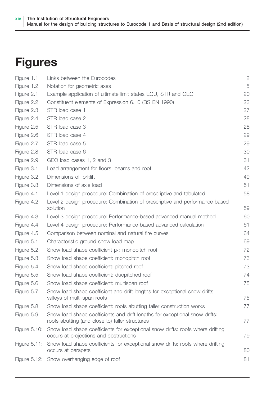## <span id="page-14-0"></span>Figures

| Figure 1.1:  | Links between the Eurocodes                                                                                                    | $\mathbf{2}$ |
|--------------|--------------------------------------------------------------------------------------------------------------------------------|--------------|
| Figure 1.2:  | Notation for geometric axes                                                                                                    | 5            |
| Figure 2.1:  | Example application of ultimate limit states EQU, STR and GEO                                                                  | 20           |
| Figure 2.2:  | Constituent elements of Expression 6.10 (BS EN 1990)                                                                           | 23           |
| Figure 2.3:  | STR load case 1                                                                                                                | 27           |
| Figure 2.4:  | STR load case 2                                                                                                                | 28           |
| Figure 2.5:  | STR load case 3                                                                                                                | 28           |
| Figure 2.6:  | STR load case 4                                                                                                                | 29           |
| Figure 2.7:  | STR load case 5                                                                                                                | 29           |
| Figure 2.8:  | STR load case 6                                                                                                                | 30           |
| Figure 2.9:  | GEO load cases 1, 2 and 3                                                                                                      | 31           |
| Figure 3.1:  | Load arrangement for floors, beams and roof                                                                                    | 42           |
| Figure 3.2:  | Dimensions of forklift                                                                                                         | 49           |
| Figure 3.3:  | Dimensions of axle load                                                                                                        | 51           |
| Figure 4.1:  | Level 1 design procedure: Combination of prescriptive and tabulated                                                            | 58           |
| Figure 4.2:  | Level 2 design procedure: Combination of prescriptive and performance-based<br>solution                                        | 59           |
| Figure 4.3:  | Level 3 design procedure: Performance-based advanced manual method                                                             | 60           |
| Figure 4.4:  | Level 4 design procedure: Performance-based advanced calculation                                                               | 61           |
| Figure 4.5:  | Comparison between nominal and natural fire curves                                                                             | 64           |
| Figure 5.1:  | Characteristic ground snow load map                                                                                            | 69           |
| Figure 5.2:  | Snow load shape coefficient $\mu_1$ : monopitch roof                                                                           | 72           |
| Figure 5.3:  | Snow load shape coefficient: monopitch roof                                                                                    | 73           |
| Figure 5.4:  | Snow load shape coefficient: pitched roof                                                                                      | 73           |
| Figure 5.5:  | Snow load shape coefficient: duopitched roof                                                                                   | 74           |
| Figure 5.6:  | Snow load shape coefficient: multispan roof                                                                                    | 75           |
| Figure 5.7:  | Snow load shape coefficient and drift lengths for exceptional snow drifts:<br>valleys of multi-span roofs                      | 75           |
| Figure 5.8:  | Snow load shape coefficient: roofs abutting taller construction works                                                          | 77           |
| Figure 5.9:  | Snow load shape coefficients and drift lengths for exceptional snow drifts:<br>roofs abutting (and close to) taller structures | 77           |
| Figure 5.10: | Snow load shape coefficients for exceptional snow drifts: roofs where drifting<br>occurs at projections and obstructions       | 79           |
| Figure 5.11: | Snow load shape coefficients for exceptional snow drifts: roofs where drifting<br>occurs at parapets                           | 80           |
|              | Figure 5.12: Snow overhanging edge of roof                                                                                     | 81           |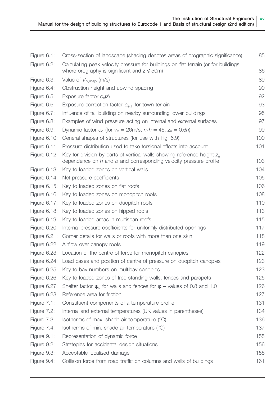| Figure 6.1:    | Cross-section of landscape (shading denotes areas of orographic significance)                                                                               | 85  |
|----------------|-------------------------------------------------------------------------------------------------------------------------------------------------------------|-----|
| Figure 6.2:    | Calculating peak velocity pressure for buildings on flat terrain (or for buildings<br>where orography is significant and $z \leqslant 50$ m)                | 86  |
| Figure 6.3:    | Value of $V_{\text{b}.\text{map}}$ (m/s)                                                                                                                    | 89  |
| Figure 6.4:    | Obstruction height and upwind spacing                                                                                                                       | 90  |
| Figure 6.5:    | Exposure factor $c_{\alpha}(z)$                                                                                                                             | 92  |
| Figure 6.6:    | Exposure correction factor $c_{e,T}$ for town terrain                                                                                                       | 93  |
| Figure 6.7:    | Influence of tall building on nearby surrounding lower buildings                                                                                            | 95  |
| Figure 6.8:    | Examples of wind pressure acting on internal and external surfaces                                                                                          | 97  |
| Figure 6.9:    | Dynamic factor $c_d$ (for $v_b = 26$ m/s, $n_1 h = 46$ , $z_e = 0.6h$ )                                                                                     | 99  |
| Figure 6.10:   | General shapes of structures (for use with Fig. 6.9)                                                                                                        | 100 |
| Figure 6.11:   | Pressure distribution used to take torsional effects into account                                                                                           | 101 |
| Figure 6.12:   | Key for division by parts of vertical walls showing reference height $z_{\rm e}$ ,<br>dependence on $h$ and $b$ and corresponding velocity pressure profile | 103 |
|                | Figure 6.13: Key to loaded zones on vertical walls                                                                                                          | 104 |
| Figure 6.14:   | Net pressure coefficients                                                                                                                                   | 105 |
|                | Figure 6.15: Key to loaded zones on flat roofs                                                                                                              | 106 |
| Figure 6.16:   | Key to loaded zones on monopitch roofs                                                                                                                      | 108 |
| Figure 6.17:   | Key to loaded zones on duopitch roofs                                                                                                                       | 110 |
|                | Figure 6.18: Key to loaded zones on hipped roofs                                                                                                            | 113 |
|                | Figure 6.19: Key to loaded areas in multispan roofs                                                                                                         | 115 |
| Figure 6.20:   | Internal pressure coefficients for uniformly distributed openings                                                                                           | 117 |
| Figure 6.21:   | Corner details for walls or roofs with more than one skin                                                                                                   | 118 |
| Figure 6.22:   | Airflow over canopy roofs                                                                                                                                   | 119 |
| Figure 6.23:   | Location of the centre of force for monopitch canopies                                                                                                      | 122 |
| Figure 6.24:   | Load cases and position of centre of pressure on duopitch canopies                                                                                          | 123 |
|                | Figure 6.25: Key to bay numbers on multibay canopies                                                                                                        | 123 |
|                | Figure 6.26: Key to loaded zones of free-standing walls, fences and parapets                                                                                | 125 |
| Figure 6.27:   | Shelter factor $\psi_{s}$ for walls and fences for $\varphi$ – values of 0.8 and 1.0                                                                        | 126 |
| Figure 6.28:   | Reference area for friction                                                                                                                                 | 127 |
| Figure $7.1$ : | Constituent components of a temperature profile                                                                                                             | 131 |
| Figure 7.2:    | Internal and external temperatures (UK values in parentheses)                                                                                               | 134 |
| Figure 7.3:    | Isotherms of max. shade air temperature (°C)                                                                                                                | 136 |
| Figure 7.4:    | Isotherms of min. shade air temperature $(°C)$                                                                                                              | 137 |
| Figure 9.1:    | Representation of dynamic force                                                                                                                             | 155 |
| Figure 9.2:    | Strategies for accidental design situations                                                                                                                 | 156 |
| Figure 9.3:    | Acceptable localised damage                                                                                                                                 | 158 |
| Figure 9.4:    | Collision force from road traffic on columns and walls of buildings                                                                                         | 161 |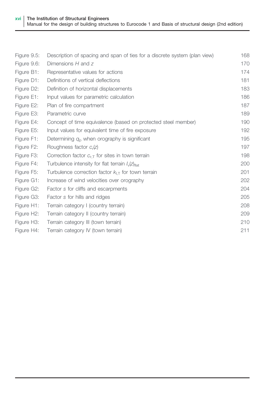| Figure 9.5:             | Description of spacing and span of ties for a discrete system (plan view) | 168 |
|-------------------------|---------------------------------------------------------------------------|-----|
| Figure 9.6:             | Dimensions $H$ and $Z$                                                    | 170 |
| Figure B1:              | Representative values for actions                                         | 174 |
| Figure D1:              | Definitions of vertical deflections                                       | 181 |
| Figure D2:              | Definition of horizontal displacements                                    | 183 |
| Figure E1:              | Input values for parametric calculation                                   | 186 |
| Figure E2:              | Plan of fire compartment                                                  | 187 |
| Figure E3:              | Parametric curve                                                          | 189 |
| Figure E4:              | Concept of time equivalence (based on protected steel member)             | 190 |
| Figure E5:              | Input values for equivalent time of fire exposure                         | 192 |
| Figure F1:              | Determining $q_{\rm p}$ when orography is significant                     | 195 |
| Figure F2:              | Roughness factor c <sub>r</sub> (z)                                       | 197 |
| Figure F3:              | Correction factor $c_{r,T}$ for sites in town terrain                     | 198 |
| Figure F4:              | Turbulence intensity for flat terrain $I_{v}(z)_{\text{flat}}$            | 200 |
| Figure F5:              | Turbulence correction factor $k_{LT}$ for town terrain                    | 201 |
| Figure G1:              | Increase of wind velocities over orography                                | 202 |
| Figure G2:              | Factor s for cliffs and escarpments                                       | 204 |
| Figure G3:              | Factor s for hills and ridges                                             | 205 |
| Figure H1:              | Terrain category I (country terrain)                                      | 208 |
| Figure H <sub>2</sub> : | Terrain category II (country terrain)                                     | 209 |
| Figure H <sub>3</sub> : | Terrain category III (town terrain)                                       | 210 |
| Figure H4:              | Terrain category IV (town terrain)                                        | 211 |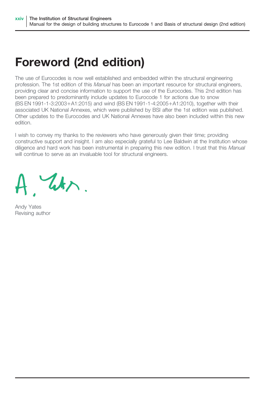### Foreword (2nd edition)

The use of Eurocodes is now well established and embedded within the structural engineering profession. The 1st edition of this Manual has been an important resource for structural engineers, providing clear and concise information to support the use of the Eurocodes. This 2nd edition has been prepared to predominantly include updates to Eurocode 1 for actions due to snow (BS EN 1991-1-3:2003+A1:2015) and wind (BS EN 1991-1-4:2005+A1:2010), together with their associated UK National Annexes, which were published by BSI after the 1st edition was published. Other updates to the Eurocodes and UK National Annexes have also been included within this new edition.

I wish to convey my thanks to the reviewers who have generously given their time; providing constructive support and insight. I am also especially grateful to Lee Baldwin at the Institution whose diligence and hard work has been instrumental in preparing this new edition. I trust that this Manual will continue to serve as an invaluable tool for structural engineers.

W.

Andy Yates Revising author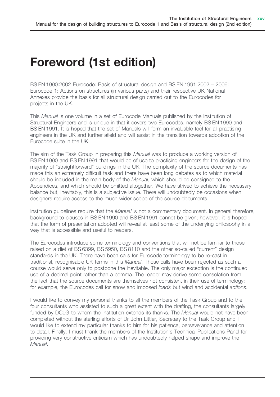### Foreword (1st edition)

BS EN 1990:2002 Eurocode: Basis of structural design and BS EN 1991:2002 – 2006: Eurocode 1: Actions on structures (in various parts) and their respective UK National Annexes provide the basis for all structural design carried out to the Eurocodes for projects in the UK.

This Manual is one volume in a set of Eurocode Manuals published by the Institution of Structural Engineers and is unique in that it covers two Eurocodes, namely BS EN 1990 and BS EN 1991. It is hoped that the set of Manuals will form an invaluable tool for all practising engineers in the UK and further afield and will assist in the transition towards adoption of the Eurocode suite in the UK.

The aim of the Task Group in preparing this Manual was to produce a working version of BS EN 1990 and BS EN 1991 that would be of use to practising engineers for the design of the majority of "straightforward" buildings in the UK. The complexity of the source documents has made this an extremely difficult task and there have been long debates as to which material should be included in the main body of the *Manual*, which should be consigned to the Appendices, and which should be omitted altogether. We have strived to achieve the necessary balance but, inevitably, this is a subjective issue. There will undoubtedly be occasions when designers require access to the much wider scope of the source documents.

Institution quidelines require that the Manual is not a commentary document. In general therefore, background to clauses in BS EN 1990 and BS EN 1991 cannot be given; however, it is hoped that the form of presentation adopted will reveal at least some of the underlying philosophy in a way that is accessible and useful to readers.

The Eurocodes introduce some terminology and conventions that will not be familiar to those raised on a diet of BS 6399, BS 5950, BS 8110 and the other so-called "current" design standards in the UK. There have been calls for Eurocode terminology to be re-cast in traditional, recognisable UK terms in this Manual. Those calls have been rejected as such a course would serve only to postpone the inevitable. The only major exception is the continued use of a decimal point rather than a comma. The reader may derive some consolation from the fact that the source documents are themselves not consistent in their use of terminology; for example, the Eurocodes call for snow and imposed *loads* but wind and accidental *actions*.

I would like to convey my personal thanks to all the members of the Task Group and to the four consultants who assisted to such a great extent with the drafting, the consultants largely funded by DCLG to whom the Institution extends its thanks. The Manual would not have been completed without the sterling efforts of Dr John Littler, Secretary to the Task Group and I would like to extend my particular thanks to him for his patience, perseverance and attention to detail. Finally, I must thank the members of the Institution's Technical Publications Panel for providing very constructive criticism which has undoubtedly helped shape and improve the Manual.